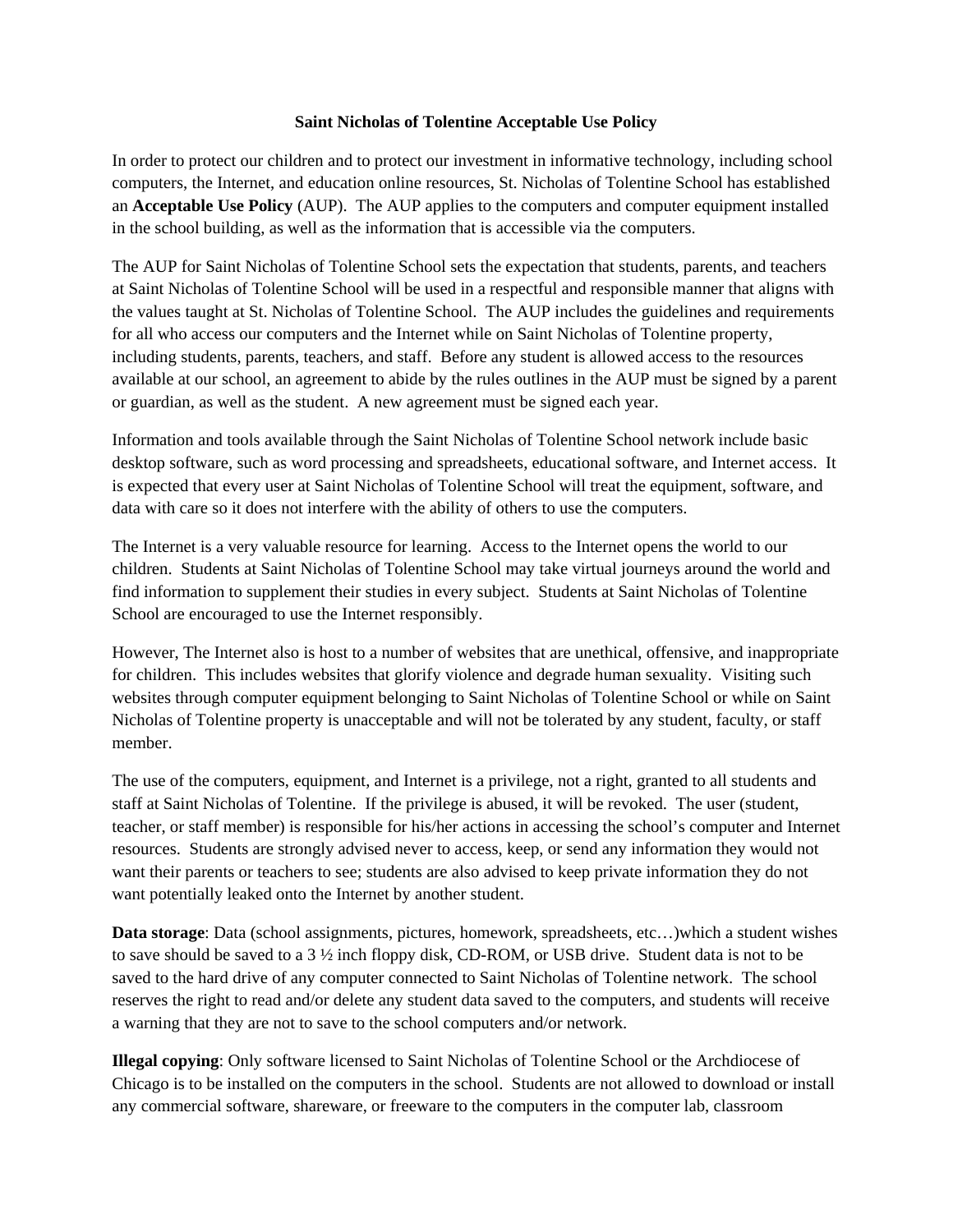#### **Saint Nicholas of Tolentine Acceptable Use Policy**

In order to protect our children and to protect our investment in informative technology, including school computers, the Internet, and education online resources, St. Nicholas of Tolentine School has established an **Acceptable Use Policy** (AUP). The AUP applies to the computers and computer equipment installed in the school building, as well as the information that is accessible via the computers.

The AUP for Saint Nicholas of Tolentine School sets the expectation that students, parents, and teachers at Saint Nicholas of Tolentine School will be used in a respectful and responsible manner that aligns with the values taught at St. Nicholas of Tolentine School. The AUP includes the guidelines and requirements for all who access our computers and the Internet while on Saint Nicholas of Tolentine property, including students, parents, teachers, and staff. Before any student is allowed access to the resources available at our school, an agreement to abide by the rules outlines in the AUP must be signed by a parent or guardian, as well as the student. A new agreement must be signed each year.

Information and tools available through the Saint Nicholas of Tolentine School network include basic desktop software, such as word processing and spreadsheets, educational software, and Internet access. It is expected that every user at Saint Nicholas of Tolentine School will treat the equipment, software, and data with care so it does not interfere with the ability of others to use the computers.

The Internet is a very valuable resource for learning. Access to the Internet opens the world to our children. Students at Saint Nicholas of Tolentine School may take virtual journeys around the world and find information to supplement their studies in every subject. Students at Saint Nicholas of Tolentine School are encouraged to use the Internet responsibly.

However, The Internet also is host to a number of websites that are unethical, offensive, and inappropriate for children. This includes websites that glorify violence and degrade human sexuality. Visiting such websites through computer equipment belonging to Saint Nicholas of Tolentine School or while on Saint Nicholas of Tolentine property is unacceptable and will not be tolerated by any student, faculty, or staff member.

The use of the computers, equipment, and Internet is a privilege, not a right, granted to all students and staff at Saint Nicholas of Tolentine. If the privilege is abused, it will be revoked. The user (student, teacher, or staff member) is responsible for his/her actions in accessing the school's computer and Internet resources. Students are strongly advised never to access, keep, or send any information they would not want their parents or teachers to see; students are also advised to keep private information they do not want potentially leaked onto the Internet by another student.

**Data storage**: Data (school assignments, pictures, homework, spreadsheets, etc…)which a student wishes to save should be saved to a 3 ½ inch floppy disk, CD-ROM, or USB drive. Student data is not to be saved to the hard drive of any computer connected to Saint Nicholas of Tolentine network. The school reserves the right to read and/or delete any student data saved to the computers, and students will receive a warning that they are not to save to the school computers and/or network.

**Illegal copying**: Only software licensed to Saint Nicholas of Tolentine School or the Archdiocese of Chicago is to be installed on the computers in the school. Students are not allowed to download or install any commercial software, shareware, or freeware to the computers in the computer lab, classroom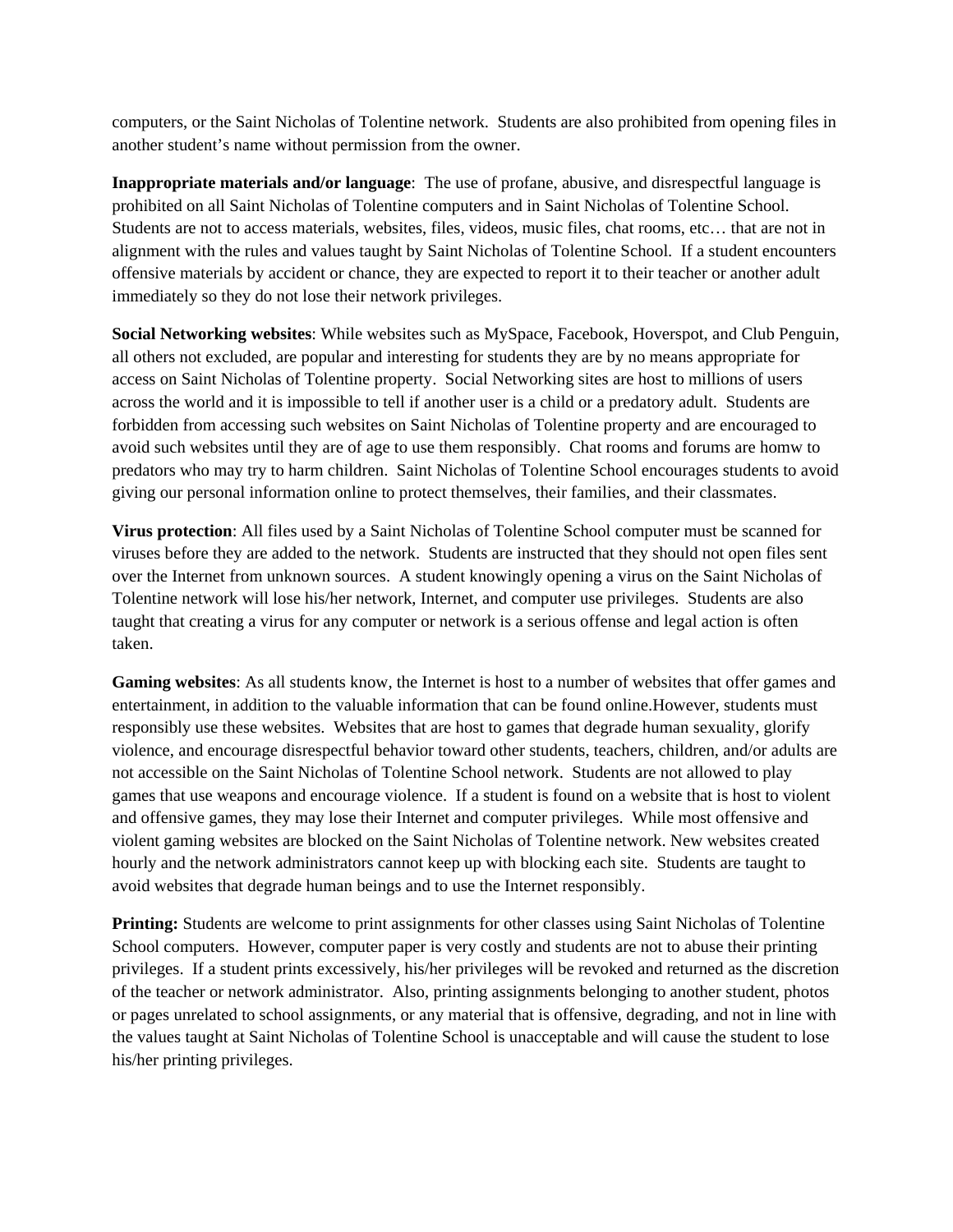computers, or the Saint Nicholas of Tolentine network. Students are also prohibited from opening files in another student's name without permission from the owner.

**Inappropriate materials and/or language**: The use of profane, abusive, and disrespectful language is prohibited on all Saint Nicholas of Tolentine computers and in Saint Nicholas of Tolentine School. Students are not to access materials, websites, files, videos, music files, chat rooms, etc… that are not in alignment with the rules and values taught by Saint Nicholas of Tolentine School. If a student encounters offensive materials by accident or chance, they are expected to report it to their teacher or another adult immediately so they do not lose their network privileges.

**Social Networking websites**: While websites such as MySpace, Facebook, Hoverspot, and Club Penguin, all others not excluded, are popular and interesting for students they are by no means appropriate for access on Saint Nicholas of Tolentine property. Social Networking sites are host to millions of users across the world and it is impossible to tell if another user is a child or a predatory adult. Students are forbidden from accessing such websites on Saint Nicholas of Tolentine property and are encouraged to avoid such websites until they are of age to use them responsibly. Chat rooms and forums are homw to predators who may try to harm children. Saint Nicholas of Tolentine School encourages students to avoid giving our personal information online to protect themselves, their families, and their classmates.

**Virus protection**: All files used by a Saint Nicholas of Tolentine School computer must be scanned for viruses before they are added to the network. Students are instructed that they should not open files sent over the Internet from unknown sources. A student knowingly opening a virus on the Saint Nicholas of Tolentine network will lose his/her network, Internet, and computer use privileges. Students are also taught that creating a virus for any computer or network is a serious offense and legal action is often taken.

**Gaming websites**: As all students know, the Internet is host to a number of websites that offer games and entertainment, in addition to the valuable information that can be found online.However, students must responsibly use these websites. Websites that are host to games that degrade human sexuality, glorify violence, and encourage disrespectful behavior toward other students, teachers, children, and/or adults are not accessible on the Saint Nicholas of Tolentine School network. Students are not allowed to play games that use weapons and encourage violence. If a student is found on a website that is host to violent and offensive games, they may lose their Internet and computer privileges. While most offensive and violent gaming websites are blocked on the Saint Nicholas of Tolentine network. New websites created hourly and the network administrators cannot keep up with blocking each site. Students are taught to avoid websites that degrade human beings and to use the Internet responsibly.

**Printing:** Students are welcome to print assignments for other classes using Saint Nicholas of Tolentine School computers. However, computer paper is very costly and students are not to abuse their printing privileges. If a student prints excessively, his/her privileges will be revoked and returned as the discretion of the teacher or network administrator. Also, printing assignments belonging to another student, photos or pages unrelated to school assignments, or any material that is offensive, degrading, and not in line with the values taught at Saint Nicholas of Tolentine School is unacceptable and will cause the student to lose his/her printing privileges.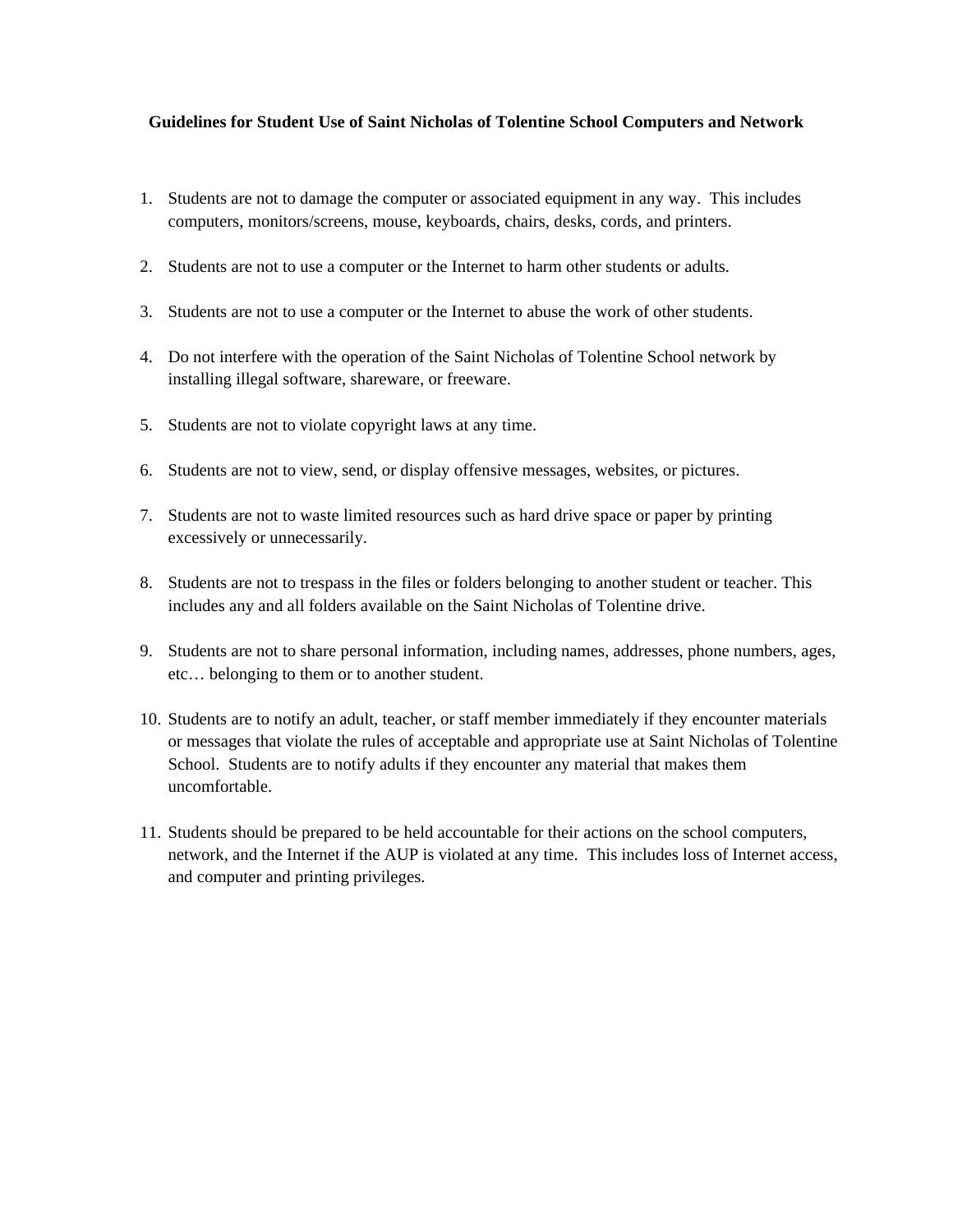### **Guidelines for Student Use of Saint Nicholas of Tolentine School Computers and Network**

- 1. Students are not to damage the computer or associated equipment in any way. This includes computers, monitors/screens, mouse, keyboards, chairs, desks, cords, and printers.
- 2. Students are not to use a computer or the Internet to harm other students or adults.
- 3. Students are not to use a computer or the Internet to abuse the work of other students.
- 4. Do not interfere with the operation of the Saint Nicholas of Tolentine School network by installing illegal software, shareware, or freeware.
- 5. Students are not to violate copyright laws at any time.
- 6. Students are not to view, send, or display offensive messages, websites, or pictures.
- 7. Students are not to waste limited resources such as hard drive space or paper by printing excessively or unnecessarily.
- 8. Students are not to trespass in the files or folders belonging to another student or teacher. This includes any and all folders available on the Saint Nicholas of Tolentine drive.
- 9. Students are not to share personal information, including names, addresses, phone numbers, ages, etc… belonging to them or to another student.
- 10. Students are to notify an adult, teacher, or staff member immediately if they encounter materials or messages that violate the rules of acceptable and appropriate use at Saint Nicholas of Tolentine School. Students are to notify adults if they encounter any material that makes them uncomfortable.
- 11. Students should be prepared to be held accountable for their actions on the school computers, network, and the Internet if the AUP is violated at any time. This includes loss of Internet access, and computer and printing privileges.